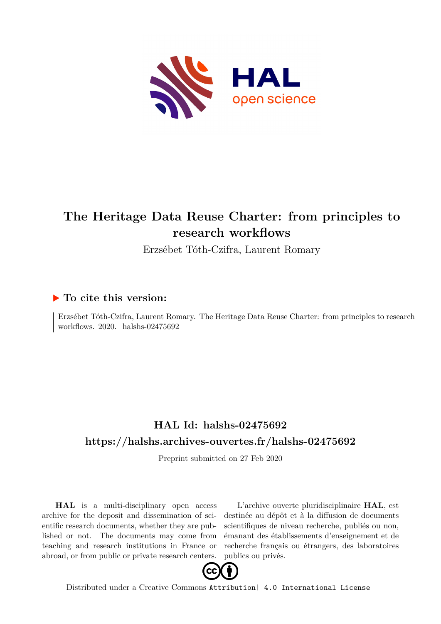

# **The Heritage Data Reuse Charter: from principles to research workflows**

Erzsébet Tóth-Czifra, Laurent Romary

#### **To cite this version:**

Erzsébet Tóth-Czifra, Laurent Romary. The Heritage Data Reuse Charter: from principles to research workflows.  $2020.$  halshs- $02475692$ 

### **HAL Id: halshs-02475692 <https://halshs.archives-ouvertes.fr/halshs-02475692>**

Preprint submitted on 27 Feb 2020

**HAL** is a multi-disciplinary open access archive for the deposit and dissemination of scientific research documents, whether they are published or not. The documents may come from teaching and research institutions in France or abroad, or from public or private research centers.

L'archive ouverte pluridisciplinaire **HAL**, est destinée au dépôt et à la diffusion de documents scientifiques de niveau recherche, publiés ou non, émanant des établissements d'enseignement et de recherche français ou étrangers, des laboratoires publics ou privés.



Distributed under a Creative Commons [Attribution| 4.0 International License](http://creativecommons.org/licenses/by/4.0/)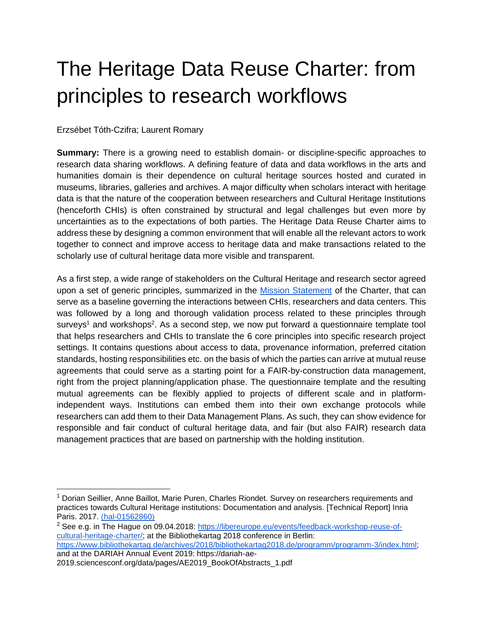# The Heritage Data Reuse Charter: from principles to research workflows

Erzsébet Tóth-Czifra; Laurent Romary

**Summary:** There is a growing need to establish domain- or discipline-specific approaches to research data sharing workflows. A defining feature of data and data workflows in the arts and humanities domain is their dependence on cultural heritage sources hosted and curated in museums, libraries, galleries and archives. A major difficulty when scholars interact with heritage data is that the nature of the cooperation between researchers and Cultural Heritage Institutions (henceforth CHIs) is often constrained by structural and legal challenges but even more by uncertainties as to the expectations of both parties. The Heritage Data Reuse Charter aims to address these by designing a common environment that will enable all the relevant actors to work together to connect and improve access to heritage data and make transactions related to the scholarly use of cultural heritage data more visible and transparent.

As a first step, a wide range of stakeholders on the Cultural Heritage and research sector agreed upon a set of generic principles, summarized in the [Mission Statement](https://datacharter.hypotheses.org/77) of the Charter, that can serve as a baseline governing the interactions between CHIs, researchers and data centers. This was followed by a long and thorough validation process related to these principles through surveys<sup>1</sup> and workshops<sup>2</sup>. As a second step, we now put forward a questionnaire template tool that helps researchers and CHIs to translate the 6 core principles into specific research project settings. It contains questions about access to data, provenance information, preferred citation standards, hosting responsibilities etc. on the basis of which the parties can arrive at mutual reuse agreements that could serve as a starting point for a FAIR-by-construction data management, right from the project planning/application phase. The questionnaire template and the resulting mutual agreements can be flexibly applied to projects of different scale and in platformindependent ways. Institutions can embed them into their own exchange protocols while researchers can add them to their Data Management Plans. As such, they can show evidence for responsible and fair conduct of cultural heritage data, and fair (but also FAIR) research data management practices that are based on partnership with the holding institution.

and at the DARIAH Annual Event 2019: https://dariah-ae-

<sup>&</sup>lt;sup>1</sup> Dorian Seillier, Anne Baillot, Marie Puren, Charles Riondet. Survey on researchers requirements and practices towards Cultural Heritage institutions: Documentation and analysis. [Technical Report] Inria Paris. 2017[.](https://hal.inria.fr/hal-01562860) ⟨[hal-01562860](https://hal.inria.fr/hal-01562860)⟩

<sup>2</sup> See e.g. in The Hague on 09.04.2018: [https://libereurope.eu/events/feedback-workshop-reuse-of](https://libereurope.eu/events/feedback-workshop-reuse-of-cultural-heritage-charter/)[cultural-heritage-charter/;](https://libereurope.eu/events/feedback-workshop-reuse-of-cultural-heritage-charter/) at the Bibliothekartag 2018 conference in Berlin: [https://www.bibliothekartag.de/archives/2018/bibliothekartag2018.de/programm/programm-3/index.html;](https://www.bibliothekartag.de/archives/2018/bibliothekartag2018.de/programm/programm-3/index.html)

<sup>2019.</sup>sciencesconf.org/data/pages/AE2019\_BookOfAbstracts\_1.pdf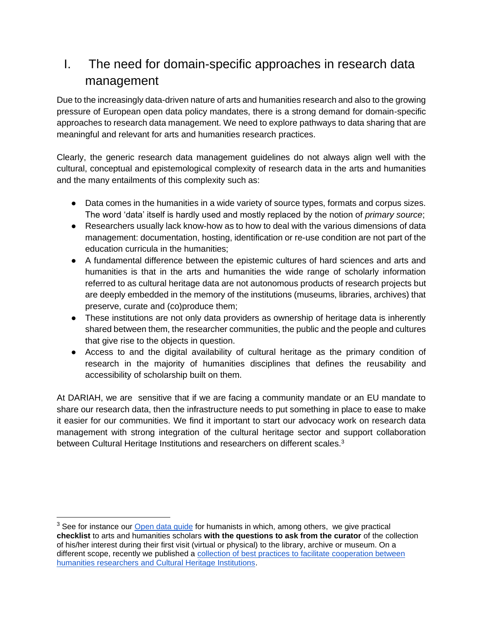# I. The need for domain-specific approaches in research data management

Due to the increasingly data-driven nature of arts and humanities research and also to the growing pressure of European open data policy mandates, there is a strong demand for domain-specific approaches to research data management. We need to explore pathways to data sharing that are meaningful and relevant for arts and humanities research practices.

Clearly, the generic research data management guidelines do not always align well with the cultural, conceptual and epistemological complexity of research data in the arts and humanities and the many entailments of this complexity such as:

- Data comes in the humanities in a wide variety of source types, formats and corpus sizes. The word 'data' itself is hardly used and mostly replaced by the notion of *primary source*;
- Researchers usually lack know-how as to how to deal with the various dimensions of data management: documentation, hosting, identification or re-use condition are not part of the education curricula in the humanities;
- A fundamental difference between the epistemic cultures of hard sciences and arts and humanities is that in the arts and humanities the wide range of scholarly information referred to as cultural heritage data are not autonomous products of research projects but are deeply embedded in the memory of the institutions (museums, libraries, archives) that preserve, curate and (co)produce them;
- These institutions are not only data providers as ownership of heritage data is inherently shared between them, the researcher communities, the public and the people and cultures that give rise to the objects in question.
- Access to and the digital availability of cultural heritage as the primary condition of research in the majority of humanities disciplines that defines the reusability and accessibility of scholarship built on them.

At DARIAH, we are sensitive that if we are facing a community mandate or an EU mandate to share our research data, then the infrastructure needs to put something in place to ease to make it easier for our communities. We find it important to start our advocacy work on research data management with strong integration of the cultural heritage sector and support collaboration between Cultural Heritage Institutions and researchers on different scales.<sup>3</sup>

<sup>&</sup>lt;sup>3</sup> See for instance our [Open data guide](https://zenodo.org/record/2657248#.Xhtc6yN7k2w) for humanists in which, among others, we give practical **checklist** to arts and humanities scholars **with the questions to ask from the curator** of the collection of his/her interest during their first visit (virtual or physical) to the library, archive or museum. On a different scope, recently we published a [collection of best practices to facilitate cooperation between](https://www.dariah.eu/2019/04/08/how-to-facilitate-cooperation-between-humanities-researchers-and-cultural-heritage-institutions/)  [humanities researchers and Cultural Heritage Institutions.](https://www.dariah.eu/2019/04/08/how-to-facilitate-cooperation-between-humanities-researchers-and-cultural-heritage-institutions/)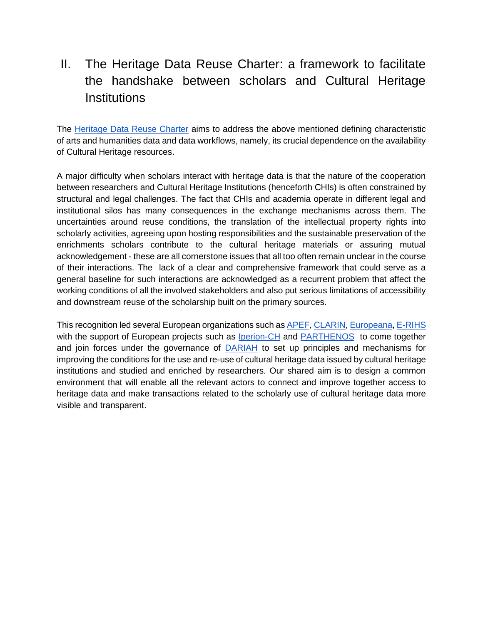# II. The Heritage Data Reuse Charter: a framework to facilitate the handshake between scholars and Cultural Heritage **Institutions**

The [Heritage Data Reuse Charter](https://www.dariah.eu/activities/open-science/data-re-use/) aims to address the above mentioned defining characteristic of arts and humanities data and data workflows, namely, its crucial dependence on the availability of Cultural Heritage resources.

A major difficulty when scholars interact with heritage data is that the nature of the cooperation between researchers and Cultural Heritage Institutions (henceforth CHIs) is often constrained by structural and legal challenges. The fact that CHIs and academia operate in different legal and institutional silos has many consequences in the exchange mechanisms across them. The uncertainties around reuse conditions, the translation of the intellectual property rights into scholarly activities, agreeing upon hosting responsibilities and the sustainable preservation of the enrichments scholars contribute to the cultural heritage materials or assuring mutual acknowledgement - these are all cornerstone issues that all too often remain unclear in the course of their interactions. The lack of a clear and comprehensive framework that could serve as a general baseline for such interactions are acknowledged as a recurrent problem that affect the working conditions of all the involved stakeholders and also put serious limitations of accessibility and downstream reuse of the scholarship built on the primary sources.

This recognition led several European organizations such as **APEF**[,](http://www.erihs.fr/) [CLARIN,](https://www.clarin.eu/) [Europeana](https://pro.europeana.eu/), [E-RIHS](http://www.erihs.fr/) with the support of European projects such as [Iperion-CH](http://www.iperionch.eu/) an[d](http://www.parthenos-project.eu/) [PARTHENOS](http://www.parthenos-project.eu/) to come together and join forces under the governance of [DARIAH](https://www.dariah.eu/) to set up principles and mechanisms for improving the conditions for the use and re-use of cultural heritage data issued by cultural heritage institutions and studied and enriched by researchers. Our shared aim is to design a common environment that will enable all the relevant actors to connect and improve together access to heritage data and make transactions related to the scholarly use of cultural heritage data more visible and transparent.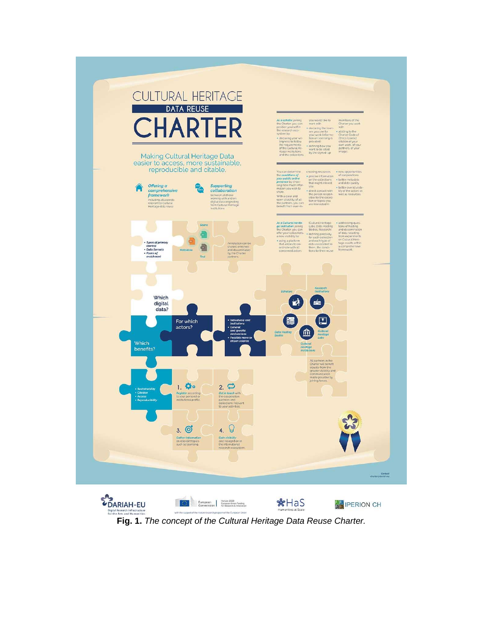

**Fig. 1.** *The concept of the Cultural Heritage Data Reuse Charter.*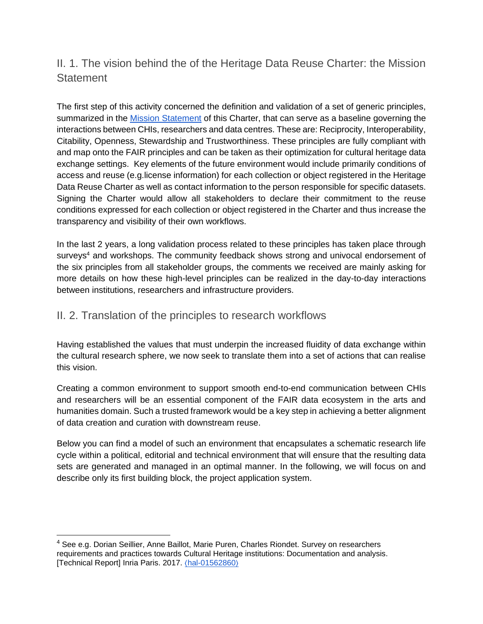### II. 1. The vision behind the of the Heritage Data Reuse Charter: the Mission **Statement**

The first step of this activity concerned the definition and validation of a set of generic principles, summarized in the [Mission Statement](https://datacharter.hypotheses.org/77) of this Charter, that can serve as a baseline governing the interactions between CHIs, researchers and data centres. These are: Reciprocity, Interoperability, Citability, Openness, Stewardship and Trustworthiness. These principles are fully compliant with and map onto the FAIR principles and can be taken as their optimization for cultural heritage data exchange settings. Key elements of the future environment would include primarily conditions of access and reuse (e.g.license information) for each collection or object registered in the Heritage Data Reuse Charter as well as contact information to the person responsible for specific datasets. Signing the Charter would allow all stakeholders to declare their commitment to the reuse conditions expressed for each collection or object registered in the Charter and thus increase the transparency and visibility of their own workflows.

In the last 2 years, a long validation process related to these principles has taken place through surveys<sup>4</sup> and workshops. The community feedback shows strong and univocal endorsement of the six principles from all stakeholder groups, the comments we received are mainly asking for more details on how these high-level principles can be realized in the day-to-day interactions between institutions, researchers and infrastructure providers.

#### II. 2. Translation of the principles to research workflows

Having established the values that must underpin the increased fluidity of data exchange within the cultural research sphere, we now seek to translate them into a set of actions that can realise this vision.

Creating a common environment to support smooth end-to-end communication between CHIs and researchers will be an essential component of the FAIR data ecosystem in the arts and humanities domain. Such a trusted framework would be a key step in achieving a better alignment of data creation and curation with downstream reuse.

Below you can find a model of such an environment that encapsulates a schematic research life cycle within a political, editorial and technical environment that will ensure that the resulting data sets are generated and managed in an optimal manner. In the following, we will focus on and describe only its first building block, the project application system.

<sup>4</sup> See e.g. Dorian Seillier, Anne Baillot, Marie Puren, Charles Riondet. Survey on researchers requirements and practices towards Cultural Heritage institutions: Documentation and analysis. [Technical Report] Inria Paris. 2017. ([hal-01562860](https://hal.inria.fr/hal-01562860))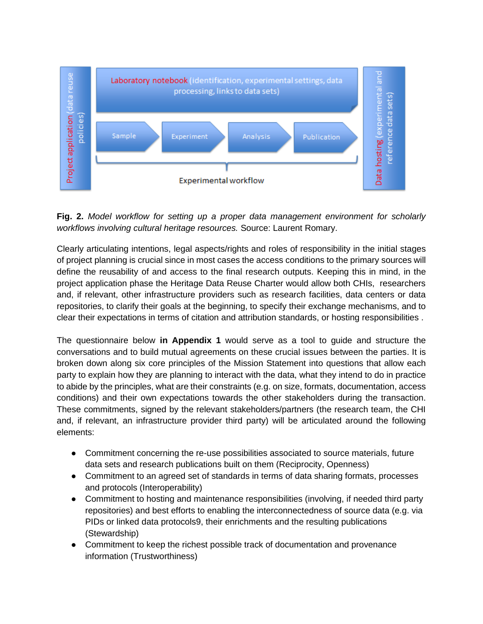

**Fig. 2.** *Model workflow for setting up a proper data management environment for scholarly workflows involving cultural heritage resources.* Source: Laurent Romary.

Clearly articulating intentions, legal aspects/rights and roles of responsibility in the initial stages of project planning is crucial since in most cases the access conditions to the primary sources will define the reusability of and access to the final research outputs. Keeping this in mind, in the project application phase the Heritage Data Reuse Charter would allow both CHIs, researchers and, if relevant, other infrastructure providers such as research facilities, data centers or data repositories, to clarify their goals at the beginning, to specify their exchange mechanisms, and to clear their expectations in terms of citation and attribution standards, or hosting responsibilities .

The questionnaire below **in Appendix 1** would serve as a tool to guide and structure the conversations and to build mutual agreements on these crucial issues between the parties. It is broken down along six core principles of the Mission Statement into questions that allow each party to explain how they are planning to interact with the data, what they intend to do in practice to abide by the principles, what are their constraints (e.g. on size, formats, documentation, access conditions) and their own expectations towards the other stakeholders during the transaction. These commitments, signed by the relevant stakeholders/partners (the research team, the CHI and, if relevant, an infrastructure provider third party) will be articulated around the following elements:

- Commitment concerning the re-use possibilities associated to source materials, future data sets and research publications built on them (Reciprocity, Openness)
- Commitment to an agreed set of standards in terms of data sharing formats, processes and protocols (Interoperability)
- Commitment to hosting and maintenance responsibilities (involving, if needed third party repositories) and best efforts to enabling the interconnectedness of source data (e.g. via PIDs or linked data protocols9, their enrichments and the resulting publications (Stewardship)
- Commitment to keep the richest possible track of documentation and provenance information (Trustworthiness)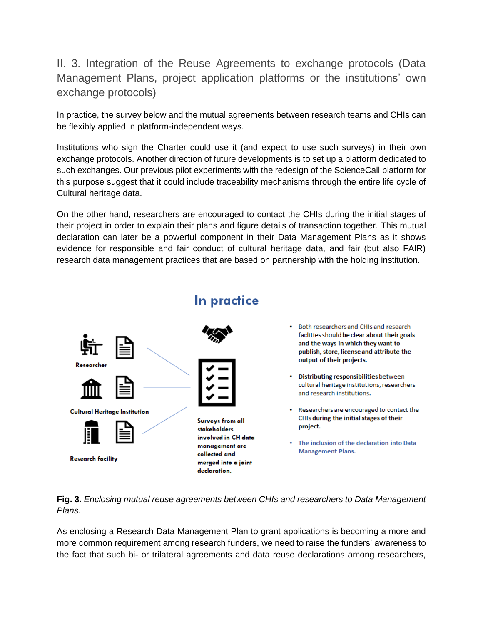II. 3. Integration of the Reuse Agreements to exchange protocols (Data Management Plans, project application platforms or the institutions' own exchange protocols)

In practice, the survey below and the mutual agreements between research teams and CHIs can be flexibly applied in platform-independent ways.

Institutions who sign the Charter could use it (and expect to use such surveys) in their own exchange protocols. Another direction of future developments is to set up a platform dedicated to such exchanges. Our previous pilot experiments with the redesign of the ScienceCall platform for this purpose suggest that it could include traceability mechanisms through the entire life cycle of Cultural heritage data.

On the other hand, researchers are encouraged to contact the CHIs during the initial stages of their project in order to explain their plans and figure details of transaction together. This mutual declaration can later be a powerful component in their Data Management Plans as it shows evidence for responsible and fair conduct of cultural heritage data, and fair (but also FAIR) research data management practices that are based on partnership with the holding institution.



# In practice

- Both researchers and CHIs and research faclities should be clear about their goals and the ways in which they want to publish, store, license and attribute the output of their projects.
- Distributing responsibilities between cultural heritage institutions, researchers and research institutions.
- Researchers are encouraged to contact the CHIs during the initial stages of their project.
- The inclusion of the declaration into Data **Management Plans.**

**Fig. 3.** *Enclosing mutual reuse agreements between CHIs and researchers to Data Management Plans.* 

As enclosing a Research Data Management Plan to grant applications is becoming a more and more common requirement among research funders, we need to raise the funders' awareness to the fact that such bi- or trilateral agreements and data reuse declarations among researchers,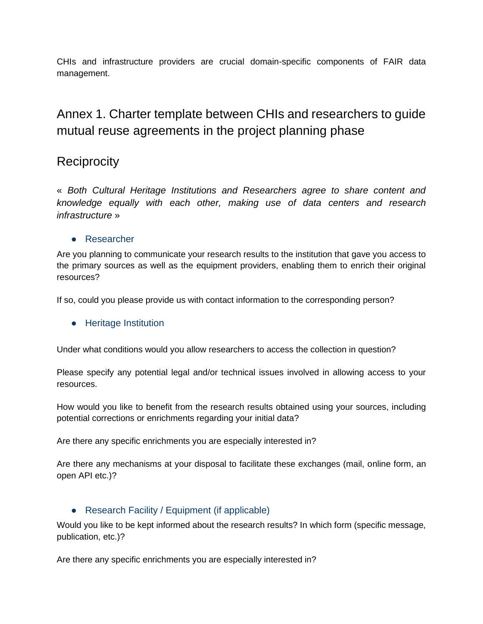CHIs and infrastructure providers are crucial domain-specific components of FAIR data management.

# Annex 1. Charter template between CHIs and researchers to guide mutual reuse agreements in the project planning phase

## **Reciprocity**

« *Both Cultural Heritage Institutions and Researchers agree to share content and knowledge equally with each other, making use of data centers and research infrastructure* »

#### ● Researcher

Are you planning to communicate your research results to the institution that gave you access to the primary sources as well as the equipment providers, enabling them to enrich their original resources?

If so, could you please provide us with contact information to the corresponding person?

#### ● Heritage Institution

Under what conditions would you allow researchers to access the collection in question?

Please specify any potential legal and/or technical issues involved in allowing access to your resources.

How would you like to benefit from the research results obtained using your sources, including potential corrections or enrichments regarding your initial data?

Are there any specific enrichments you are especially interested in?

Are there any mechanisms at your disposal to facilitate these exchanges (mail, online form, an open API etc.)?

#### • Research Facility / Equipment (if applicable)

Would you like to be kept informed about the research results? In which form (specific message, publication, etc.)?

Are there any specific enrichments you are especially interested in?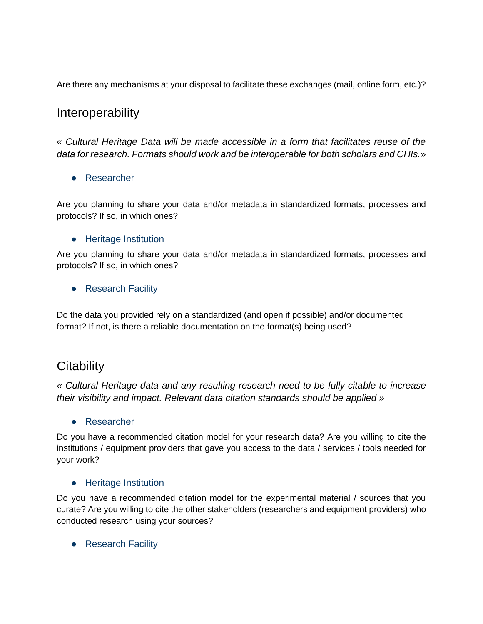Are there any mechanisms at your disposal to facilitate these exchanges (mail, online form, etc.)?

### **Interoperability**

« *Cultural Heritage Data will be made accessible in a form that facilitates reuse of the data for research. Formats should work and be interoperable for both scholars and CHIs.*»

#### ● Researcher

Are you planning to share your data and/or metadata in standardized formats, processes and protocols? If so, in which ones?

#### ● Heritage Institution

Are you planning to share your data and/or metadata in standardized formats, processes and protocols? If so, in which ones?

● Research Facility

Do the data you provided rely on a standardized (and open if possible) and/or documented format? If not, is there a reliable documentation on the format(s) being used?

### **Citability**

*« Cultural Heritage data and any resulting research need to be fully citable to increase their visibility and impact. Relevant data citation standards should be applied »* 

#### ● Researcher

Do you have a recommended citation model for your research data? Are you willing to cite the institutions / equipment providers that gave you access to the data / services / tools needed for your work?

#### ● Heritage Institution

Do you have a recommended citation model for the experimental material / sources that you curate? Are you willing to cite the other stakeholders (researchers and equipment providers) who conducted research using your sources?

• Research Facility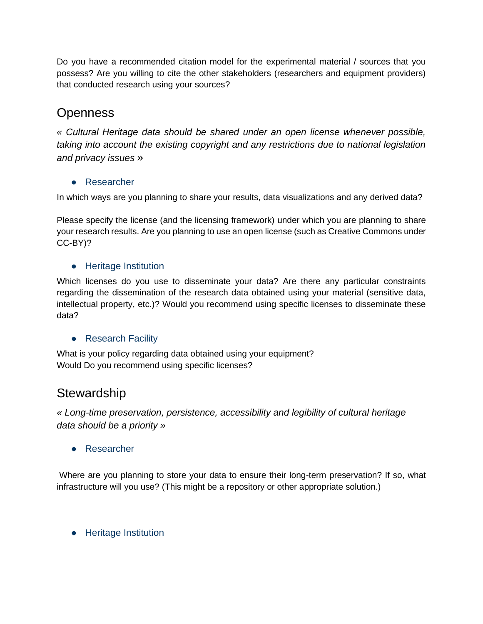Do you have a recommended citation model for the experimental material / sources that you possess? Are you willing to cite the other stakeholders (researchers and equipment providers) that conducted research using your sources?

# **Openness**

*« Cultural Heritage data should be shared under an open license whenever possible, taking into account the existing copyright and any restrictions due to national legislation and privacy issues* »

#### ● Researcher

In which ways are you planning to share your results, data visualizations and any derived data?

Please specify the license (and the licensing framework) under which you are planning to share your research results. Are you planning to use an open license (such as Creative Commons under CC-BY)?

#### ● Heritage Institution

Which licenses do you use to disseminate your data? Are there any particular constraints regarding the dissemination of the research data obtained using your material (sensitive data, intellectual property, etc.)? Would you recommend using specific licenses to disseminate these data?

#### ● Research Facility

What is your policy regarding data obtained using your equipment? Would Do you recommend using specific licenses?

### **Stewardship**

*« Long-time preservation, persistence, accessibility and legibility of cultural heritage data should be a priority »* 

● Researcher

Where are you planning to store your data to ensure their long-term preservation? If so, what infrastructure will you use? (This might be a repository or other appropriate solution.)

● Heritage Institution